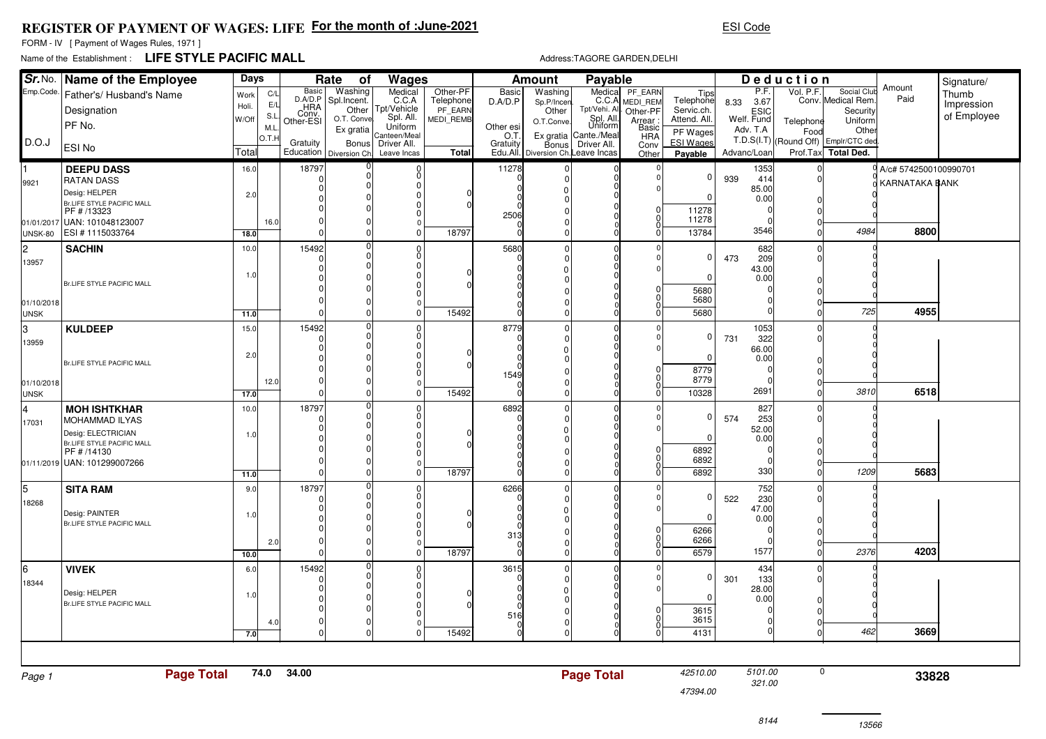## **REGISTER OF PAYMENT OF WAGES: LIFEFor the month of :June-2021**

FORM - IV [ Payment of Wages Rules, 1971 ]

## Name of the Establishment : **LIFE STYLE PACIFIC MALL**

Address:TAGORE GARDEN,DELHI

ESI Code

|                           | Sr. No. Name of the Employee                | Days  |             |                  | Rate<br>Wages<br>оf              |                            |                      | Payable<br><b>Amount</b> |                                    |                                      |                      |                             | Deduction          |               |           |                                               |                         | Signature/  |
|---------------------------|---------------------------------------------|-------|-------------|------------------|----------------------------------|----------------------------|----------------------|--------------------------|------------------------------------|--------------------------------------|----------------------|-----------------------------|--------------------|---------------|-----------|-----------------------------------------------|-------------------------|-------------|
| Emp.Code.                 | Father's/ Husband's Name                    | Work  | C/L         | <b>Basic</b>     | Washing                          | Medical<br>C.C.A           | Other-PF             | <b>Basic</b>             | Washing                            | Medical                              | PF EARN              | Tips                        |                    | P.F.          | Vol. P.F. | Social Club                                   | Amount<br>Paid          | Thumb       |
|                           | Designation                                 | Holi. | E/L         | D.A/D.P<br>Conv. | Spl.Incent.<br>Other             | Tpt/Vehicle                | Telephone<br>PF EARN | D.A/D.P                  | Sp.P/Incer<br>Other                | C.C.A<br>Tpt/Vehi. All               | MEDI REM<br>Other-PF | Telephone<br>Servic.ch.     | 8.33               | 3.67          |           | Conv. Medical Rem<br>Security                 |                         | Impression  |
|                           | PF No.                                      | W/Off | S.L         | Other-ESI        | O.T. Conve                       | Spl. All.<br>Uniform       | MEDI REMB            | Other esi                | O.T.Conve                          | Spl. All.<br>Uniform                 | Arrear :<br>Basic    | Attend. All.                | ESIC<br>Welf. Fund |               | Telephone | Uniform                                       |                         | of Employee |
| D.O.J                     |                                             |       | M.L<br>O.T. |                  | Ex gratia                        | Canteen/Meal               |                      | O.T                      |                                    | Ex gratia Cante /Meal                | <b>HRA</b>           | PF Wages                    | Adv. T.A           |               | Food      | Other<br>T.D.S(I.T) (Round Off) Emplr/CTC ded |                         |             |
|                           | ESI No                                      | Total |             | Gratuity         | Bonus<br>Education Diversion Ch. | Driver All.<br>Leave Incas | <b>Total</b>         | Gratuity                 | Edu.All. Diversion Ch. Leave Incas | Bonus Driver All.                    | Conv<br>Other        | <b>ESI Wages</b><br>Payable | Advanc/Loan        |               |           | Prof.Tax Total Ded.                           |                         |             |
|                           | <b>DEEPU DASS</b>                           | 16.0  |             | 18797            |                                  |                            |                      | 11278                    |                                    |                                      |                      |                             |                    | 1353          |           |                                               | 0 A/c# 5742500100990701 |             |
| 9921                      | <b>RATAN DASS</b>                           |       |             | C<br>n           | <sup>0</sup>                     |                            |                      |                          |                                    | 0                                    |                      | 0                           | 939                | 414           |           |                                               | KARNATAKA BANK          |             |
|                           | Desig: HELPER                               | 2.0   |             |                  |                                  |                            |                      |                          |                                    |                                      |                      | $\Omega$                    |                    | 85.00<br>0.00 |           |                                               |                         |             |
|                           | Br.LIFE STYLE PACIFIC MALL<br>PF # /13323   |       |             |                  |                                  |                            |                      | 2506                     |                                    |                                      |                      | 11278                       |                    |               |           |                                               |                         |             |
| 01/01/2017                | UAN: 101048123007                           |       | 16.0        |                  |                                  |                            |                      |                          |                                    |                                      |                      | 11278                       |                    |               |           |                                               |                         |             |
| <b>UNSK-80</b>            | ESI #1115033764                             | 18.0  |             | C                |                                  |                            | 18797                |                          |                                    |                                      |                      | 13784                       |                    | 3546          |           | 4984                                          | 8800                    |             |
| l2.                       | <b>SACHIN</b>                               | 10.0  |             | 15492            |                                  | n                          |                      | 5680                     |                                    | 0<br>0                               |                      | 0                           | 473                | 682<br>209    |           |                                               |                         |             |
| 13957                     |                                             |       |             |                  |                                  | n                          |                      |                          |                                    | $\Omega$                             |                      |                             |                    | 43.00         |           |                                               |                         |             |
|                           | Br.LIFE STYLE PACIFIC MALL                  | 1.0   |             |                  |                                  |                            |                      |                          |                                    |                                      |                      | $\Omega$                    |                    | 0.00          |           |                                               |                         |             |
|                           |                                             |       |             |                  |                                  |                            |                      |                          |                                    |                                      |                      | 5680<br>5680                |                    |               |           |                                               |                         |             |
| 01/10/2018<br><b>UNSK</b> |                                             | 11.0  |             | $\sqrt{ }$       | $\Omega$                         |                            | 15492                |                          |                                    |                                      |                      | 5680                        |                    |               |           | 725                                           | 4955                    |             |
| lз                        | <b>KULDEEP</b>                              | 15.0  |             | 15492            | $\Omega$                         |                            |                      | 8779                     |                                    | $\pmb{0}$                            | $\Omega$             |                             |                    | 1053          |           |                                               |                         |             |
| 13959                     |                                             |       |             |                  | $\Omega$                         |                            |                      |                          |                                    | $\begin{matrix} 0 \\ 0 \end{matrix}$ |                      | 0                           | 731                | 322           |           |                                               |                         |             |
|                           |                                             | 2.0   |             |                  |                                  |                            |                      |                          |                                    |                                      |                      | 0                           |                    | 66.00<br>0.00 |           |                                               |                         |             |
|                           | Br.LIFE STYLE PACIFIC MALL                  |       |             |                  |                                  |                            |                      |                          |                                    |                                      |                      | 8779                        |                    |               |           |                                               |                         |             |
| 01/10/2018                |                                             |       | 12.0        |                  |                                  |                            |                      | 1549                     |                                    | $\Omega$                             |                      | 8779                        |                    |               |           |                                               |                         |             |
| <b>UNSK</b>               |                                             | 17.0  |             | $\Omega$         | $\Omega$                         | $\Omega$                   | 15492                |                          |                                    | $\Omega$                             |                      | 10328                       |                    | 2691          |           | 3810                                          | 6518                    |             |
| 4                         | <b>MOH ISHTKHAR</b>                         | 10.0  |             | 18797<br>C       | $\Omega$                         | $\Omega$                   |                      | 6892                     |                                    | <sup>0</sup><br>0                    | $\Omega$             | 0                           | 574                | 827<br>253    |           |                                               |                         |             |
| 17031                     | MOHAMMAD ILYAS<br>Desig: ELECTRICIAN        |       |             |                  |                                  |                            |                      |                          |                                    |                                      |                      |                             |                    | 52.00         |           |                                               |                         |             |
|                           | Br.LIFE STYLE PACIFIC MALL                  | 1.0   |             |                  |                                  |                            |                      |                          |                                    |                                      |                      | $\Omega$                    |                    | 0.00          |           |                                               |                         |             |
|                           | PF # /14130                                 |       |             |                  |                                  |                            |                      |                          |                                    |                                      |                      | 6892<br>6892                |                    |               |           |                                               |                         |             |
|                           | 01/11/2019 UAN: 101299007266                | 11.0  |             |                  | $\Omega$                         |                            | 18797                |                          |                                    |                                      |                      | 6892                        |                    | 330           |           | 1209                                          | 5683                    |             |
| l5.                       | <b>SITA RAM</b>                             | 9.0   |             | 18797            |                                  |                            |                      | 6266                     |                                    | $\mathbf 0$                          |                      |                             |                    | 752           |           |                                               |                         |             |
| 18268                     |                                             |       |             |                  |                                  | n                          |                      |                          |                                    | 0                                    |                      | 0                           | 522                | 230           |           |                                               |                         |             |
|                           | Desig: PAINTER                              | 1.0   |             |                  |                                  |                            |                      |                          |                                    |                                      |                      | $\Omega$                    |                    | 47.00<br>0.00 |           |                                               |                         |             |
|                           | Br.LIFE STYLE PACIFIC MALL                  |       |             |                  |                                  |                            |                      | 313                      |                                    |                                      |                      | 6266                        |                    |               |           |                                               |                         |             |
|                           |                                             |       | 2.0         |                  | $\Omega$                         |                            |                      |                          |                                    | $\begin{matrix} 0 \\ 0 \end{matrix}$ |                      | 6266                        |                    |               |           |                                               |                         |             |
|                           |                                             | 10.0  |             | $\Omega$         | $\Omega$                         |                            | 18797                |                          |                                    |                                      |                      | 6579                        |                    | 1577          |           | 2376                                          | 4203                    |             |
| 6                         | <b>VIVEK</b>                                | 6.0   |             | 15492            | $\Omega$                         |                            |                      | 3615                     |                                    | 0<br>$\mathbf 0$                     | $\Omega$             | 0                           | 301                | 434<br>133    |           |                                               |                         |             |
| 18344                     |                                             |       |             |                  |                                  |                            |                      |                          |                                    | $\Omega$                             |                      |                             |                    | 28.00         |           |                                               |                         |             |
|                           | Desig: HELPER<br>Br.LIFE STYLE PACIFIC MALL | 1.0   |             |                  |                                  | n                          |                      |                          |                                    |                                      |                      | 0                           |                    | 0.00          |           |                                               |                         |             |
|                           |                                             |       | 4.0         | 0                | $\Omega$                         | $\Omega$                   |                      | 516                      |                                    | $\Omega$                             |                      | 3615<br>3615                |                    |               |           |                                               |                         |             |
|                           |                                             | 7.0   |             | $\Omega$         | $\Omega$                         |                            | 15492                |                          |                                    | $\Omega$                             |                      | 4131                        |                    | $\Omega$      |           | 462                                           | 3669                    |             |
|                           |                                             |       |             |                  |                                  |                            |                      |                          |                                    |                                      |                      |                             |                    |               |           |                                               |                         |             |
| Page 1                    | <b>Page Total</b>                           |       | 74.0        | 34.00            |                                  |                            |                      |                          |                                    | <b>Page Total</b>                    |                      | 42510.00                    |                    | 5101.00       | 0         |                                               | 33828                   |             |
|                           |                                             |       |             |                  |                                  |                            |                      |                          |                                    |                                      |                      | 47394.00                    |                    | 321.00        |           |                                               |                         |             |
|                           |                                             |       |             |                  |                                  |                            |                      |                          |                                    |                                      |                      |                             |                    |               |           |                                               |                         |             |

13566